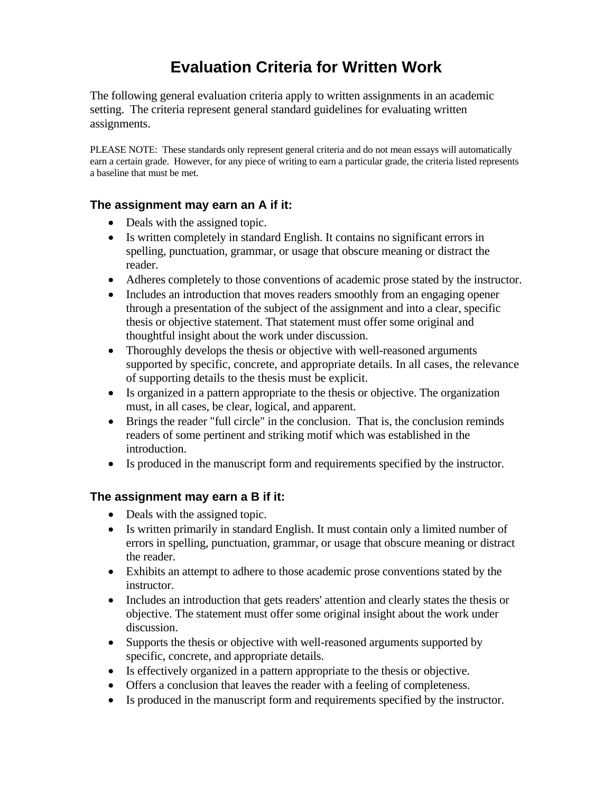# **Evaluation Criteria for Written Work**

The following general evaluation criteria apply to written assignments in an academic setting. The criteria represent general standard guidelines for evaluating written assignments.

PLEASE NOTE: These standards only represent general criteria and do not mean essays will automatically earn a certain grade. However, for any piece of writing to earn a particular grade, the criteria listed represents a baseline that must be met.

#### **The assignment may earn an A if it:**

- Deals with the assigned topic.
- Is written completely in standard English. It contains no significant errors in spelling, punctuation, grammar, or usage that obscure meaning or distract the reader.
- Adheres completely to those conventions of academic prose stated by the instructor.
- Includes an introduction that moves readers smoothly from an engaging opener through a presentation of the subject of the assignment and into a clear, specific thesis or objective statement. That statement must offer some original and thoughtful insight about the work under discussion.
- Thoroughly develops the thesis or objective with well-reasoned arguments supported by specific, concrete, and appropriate details. In all cases, the relevance of supporting details to the thesis must be explicit.
- Is organized in a pattern appropriate to the thesis or objective. The organization must, in all cases, be clear, logical, and apparent.
- Brings the reader "full circle" in the conclusion. That is, the conclusion reminds readers of some pertinent and striking motif which was established in the introduction.
- Is produced in the manuscript form and requirements specified by the instructor.

#### **The assignment may earn a B if it:**

- Deals with the assigned topic.
- Is written primarily in standard English. It must contain only a limited number of errors in spelling, punctuation, grammar, or usage that obscure meaning or distract the reader.
- Exhibits an attempt to adhere to those academic prose conventions stated by the instructor.
- Includes an introduction that gets readers' attention and clearly states the thesis or objective. The statement must offer some original insight about the work under discussion.
- Supports the thesis or objective with well-reasoned arguments supported by specific, concrete, and appropriate details.
- Is effectively organized in a pattern appropriate to the thesis or objective.
- Offers a conclusion that leaves the reader with a feeling of completeness.
- Is produced in the manuscript form and requirements specified by the instructor.